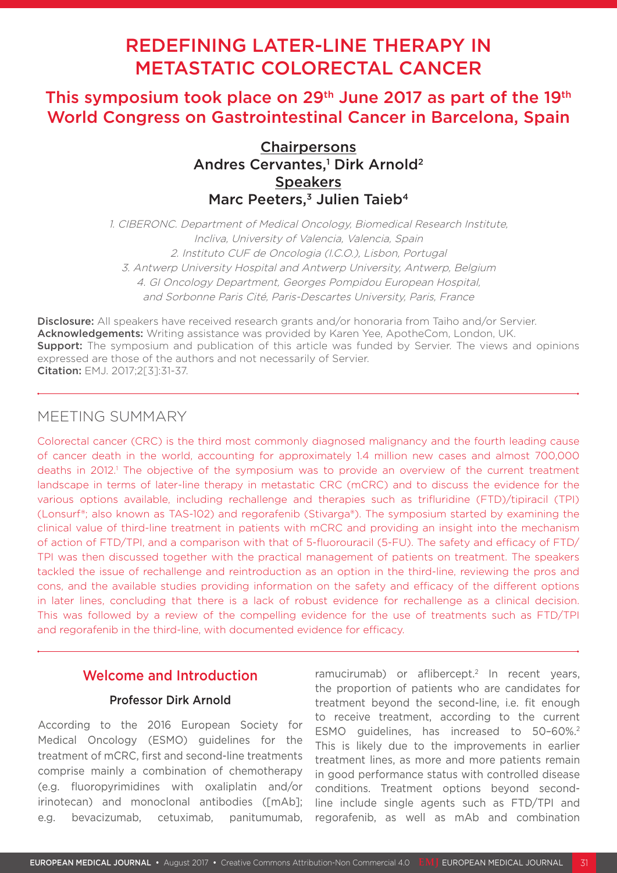# REDEFINING LATER-LINE THERAPY IN METASTATIC COLORECTAL CANCER

## This symposium took place on 29<sup>th</sup> June 2017 as part of the 19<sup>th</sup> World Congress on Gastrointestinal Cancer in Barcelona, Spain

**Chairpersons** Andres Cervantes,<sup>1</sup> Dirk Arnold<sup>2</sup> **Speakers** Marc Peeters,<sup>3</sup> Julien Taieb<sup>4</sup>

1. CIBERONC. Department of Medical Oncology, Biomedical Research Institute, Incliva, University of Valencia, Valencia, Spain 2. Instituto CUF de Oncologia (I.C.O.), Lisbon, Portugal 3. Antwerp University Hospital and Antwerp University, Antwerp, Belgium 4. GI Oncology Department, Georges Pompidou European Hospital, and Sorbonne Paris Cité, Paris-Descartes University, Paris, France

Disclosure: All speakers have received research grants and/or honoraria from Taiho and/or Servier. Acknowledgements: Writing assistance was provided by Karen Yee, ApotheCom, London, UK. **Support:** The symposium and publication of this article was funded by Servier. The views and opinions expressed are those of the authors and not necessarily of Servier. Citation: EMJ. 2017;2[3]:31-37.

### MEETING SUMMARY

Colorectal cancer (CRC) is the third most commonly diagnosed malignancy and the fourth leading cause of cancer death in the world, accounting for approximately 1.4 million new cases and almost 700,000 deaths in 2012.<sup>1</sup> The objective of the symposium was to provide an overview of the current treatment landscape in terms of later-line therapy in metastatic CRC (mCRC) and to discuss the evidence for the various options available, including rechallenge and therapies such as trifluridine (FTD)/tipiracil (TPI) (Lonsurf®; also known as TAS-102) and regorafenib (Stivarga®). The symposium started by examining the clinical value of third-line treatment in patients with mCRC and providing an insight into the mechanism of action of FTD/TPI, and a comparison with that of 5-fluorouracil (5-FU). The safety and efficacy of FTD/ TPI was then discussed together with the practical management of patients on treatment. The speakers tackled the issue of rechallenge and reintroduction as an option in the third-line, reviewing the pros and cons, and the available studies providing information on the safety and efficacy of the different options in later lines, concluding that there is a lack of robust evidence for rechallenge as a clinical decision. This was followed by a review of the compelling evidence for the use of treatments such as FTD/TPI and regorafenib in the third-line, with documented evidence for efficacy.

### Welcome and Introduction

### Professor Dirk Arnold

According to the 2016 European Society for Medical Oncology (ESMO) guidelines for the treatment of mCRC, first and second-line treatments comprise mainly a combination of chemotherapy (e.g. fluoropyrimidines with oxaliplatin and/or irinotecan) and monoclonal antibodies ([mAb]; e.g. bevacizumab, cetuximab, panitumumab, ramucirumab) or aflibercept.<sup>2</sup> In recent years, the proportion of patients who are candidates for treatment beyond the second-line, i.e. fit enough to receive treatment, according to the current ESMO guidelines, has increased to 50-60%.<sup>2</sup> This is likely due to the improvements in earlier treatment lines, as more and more patients remain in good performance status with controlled disease conditions. Treatment options beyond secondline include single agents such as FTD/TPI and regorafenib, as well as mAb and combination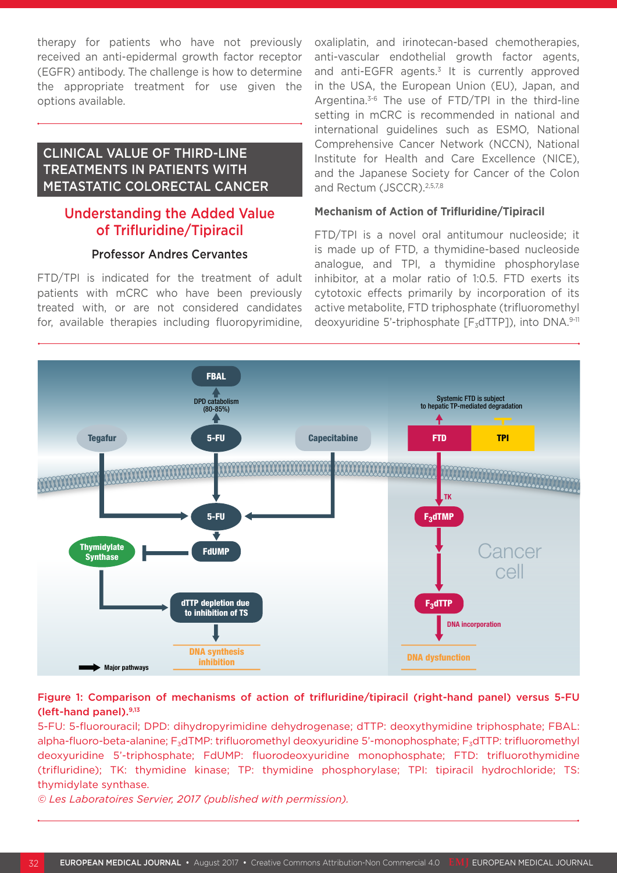therapy for patients who have not previously received an anti-epidermal growth factor receptor (EGFR) antibody. The challenge is how to determine the appropriate treatment for use given the options available.

### CLINICAL VALUE OF THIRD-LINE TREATMENTS IN PATIENTS WITH METASTATIC COLORECTAL CANCER

### Understanding the Added Value of Trifluridine/Tipiracil

### Professor Andres Cervantes

FTD/TPI is indicated for the treatment of adult patients with mCRC who have been previously treated with, or are not considered candidates for, available therapies including fluoropyrimidine, oxaliplatin, and irinotecan-based chemotherapies, anti-vascular endothelial growth factor agents, and anti-EGFR agents.<sup>3</sup> It is currently approved in the USA, the European Union (EU), Japan, and Argentina.3-6 The use of FTD/TPI in the third-line setting in mCRC is recommended in national and international guidelines such as ESMO, National Comprehensive Cancer Network (NCCN), National Institute for Health and Care Excellence (NICE), and the Japanese Society for Cancer of the Colon and Rectum (JSCCR).<sup>2,5,7,8</sup>

#### **Mechanism of Action of Trifluridine/Tipiracil**

FTD/TPI is a novel oral antitumour nucleoside; it is made up of FTD, a thymidine-based nucleoside analogue, and TPI, a thymidine phosphorylase inhibitor, at a molar ratio of 1:0.5. FTD exerts its cytotoxic effects primarily by incorporation of its active metabolite, FTD triphosphate (trifluoromethyl deoxyuridine 5'-triphosphate  $[F_3dTTP]$ ), into DNA.9-11



### Figure 1: Comparison of mechanisms of action of trifluridine/tipiracil (right-hand panel) versus 5-FU (left-hand panel).9,13

5-FU: 5-fluorouracil; DPD: dihydropyrimidine dehydrogenase; dTTP: deoxythymidine triphosphate; FBAL: alpha-fluoro-beta-alanine; F<sub>3</sub>dTMP: trifluoromethyl deoxyuridine 5'-monophosphate; F<sub>3</sub>dTTP: trifluoromethyl deoxyuridine 5'-triphosphate; FdUMP: fluorodeoxyuridine monophosphate; FTD: trifluorothymidine (trifluridine); TK: thymidine kinase; TP: thymidine phosphorylase; TPI: tipiracil hydrochloride; TS: thymidylate synthase.

*© Les Laboratoires Servier, 2017 (published with permission).*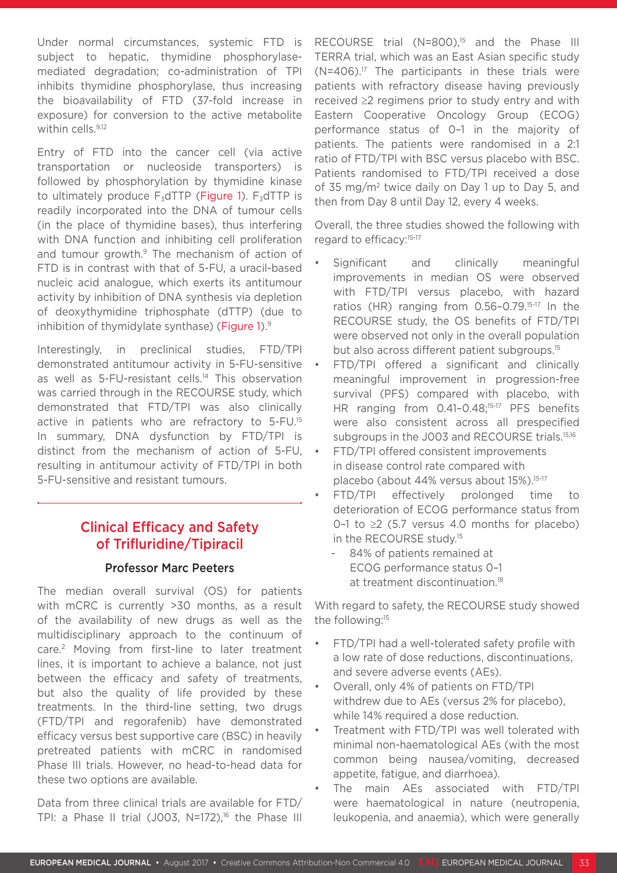Under normal circumstances, systemic FTD is subject to hepatic, thymidine phosphorylasemediated degradation; co-administration of TPI inhibits thymidine phosphorylase, thus increasing the bioavailability of FTD (37-fold increase in exposure) for conversion to the active metabolite within cells.<sup>9,12</sup>

Entry of FTD into the cancer cell (via active transportation or nucleoside transporters) is followed by phosphorylation by thymidine kinase to ultimately produce  $F_3$ dTTP (Figure 1).  $F_3$ dTTP is readily incorporated into the DNA of tumour cells (in the place of thymidine bases), thus interfering with DNA function and inhibiting cell proliferation and tumour growth.<sup>9</sup> The mechanism of action of FTD is in contrast with that of 5-FU, a uracil-based nucleic acid analogue, which exerts its antitumour activity by inhibition of DNA synthesis via depletion of deoxythymidine triphosphate (dTTP) (due to inhibition of thymidylate synthase) (Figure 1).<sup>9</sup>

Interestingly, in preclinical studies, FTD/TPI demonstrated antitumour activity in 5-FU-sensitive as well as 5-FU-resistant cells.<sup>14</sup> This observation was carried through in the RECOURSE study, which demonstrated that FTD/TPI was also clinically active in patients who are refractory to 5-FU.15 In summary, DNA dysfunction by FTD/TPI is distinct from the mechanism of action of 5-FU, resulting in antitumour activity of FTD/TPI in both 5-FU-sensitive and resistant tumours.

### Clinical Efficacy and Safety of Trifluridine/Tipiracil

### Professor Marc Peeters

The median overall survival (OS) for patients with mCRC is currently >30 months, as a result of the availability of new drugs as well as the multidisciplinary approach to the continuum of care.2 Moving from first-line to later treatment lines, it is important to achieve a balance, not just between the efficacy and safety of treatments, but also the quality of life provided by these treatments. In the third-line setting, two drugs (FTD/TPI and regorafenib) have demonstrated efficacy versus best supportive care (BSC) in heavily pretreated patients with mCRC in randomised Phase III trials. However, no head-to-head data for these two options are available.

Data from three clinical trials are available for FTD/ TPI: a Phase II trial (J003,  $N=172$ ),<sup>16</sup> the Phase III RECOURSE trial (N=800),<sup>15</sup> and the Phase III TERRA trial, which was an East Asian specific study  $(N=406).<sup>17</sup>$  The participants in these trials were patients with refractory disease having previously received ≥2 regimens prior to study entry and with Eastern Cooperative Oncology Group (ECOG) performance status of 0–1 in the majority of patients. The patients were randomised in a 2:1 ratio of FTD/TPI with BSC versus placebo with BSC. Patients randomised to FTD/TPI received a dose of 35 mg/m2 twice daily on Day 1 up to Day 5, and then from Day 8 until Day 12, every 4 weeks.

Overall, the three studies showed the following with regard to efficacy:<sup>15-17</sup>

- Significant and clinically meaningful improvements in median OS were observed with FTD/TPI versus placebo, with hazard ratios (HR) ranging from 0.56–0.79.15-17 In the RECOURSE study, the OS benefits of FTD/TPI were observed not only in the overall population but also across different patient subgroups.<sup>15</sup>
- FTD/TPI offered a significant and clinically meaningful improvement in progression-free survival (PFS) compared with placebo, with HR ranging from 0.41-0.48;<sup>15-17</sup> PFS benefits were also consistent across all prespecified subgroups in the J003 and RECOURSE trials.<sup>15,16</sup>
- FTD/TPI offered consistent improvements in disease control rate compared with placebo (about 44% versus about 15%).<sup>15-17</sup>
- FTD/TPI effectively prolonged time to deterioration of ECOG performance status from 0-1 to  $\geq$  (5.7 versus 4.0 months for placebo) in the RECOURSE study.<sup>15</sup>
	- 84% of patients remained at ECOG performance status 0–1 at treatment discontinuation.18

With regard to safety, the RECOURSE study showed the following:<sup>15</sup>

- FTD/TPI had a well-tolerated safety profile with a low rate of dose reductions, discontinuations, and severe adverse events (AEs).
- Overall, only 4% of patients on FTD/TPI withdrew due to AEs (versus 2% for placebo), while 14% required a dose reduction.
- Treatment with FTD/TPI was well tolerated with minimal non-haematological AEs (with the most common being nausea/vomiting, decreased appetite, fatigue, and diarrhoea).
- The main AEs associated with FTD/TPI were haematological in nature (neutropenia, leukopenia, and anaemia), which were generally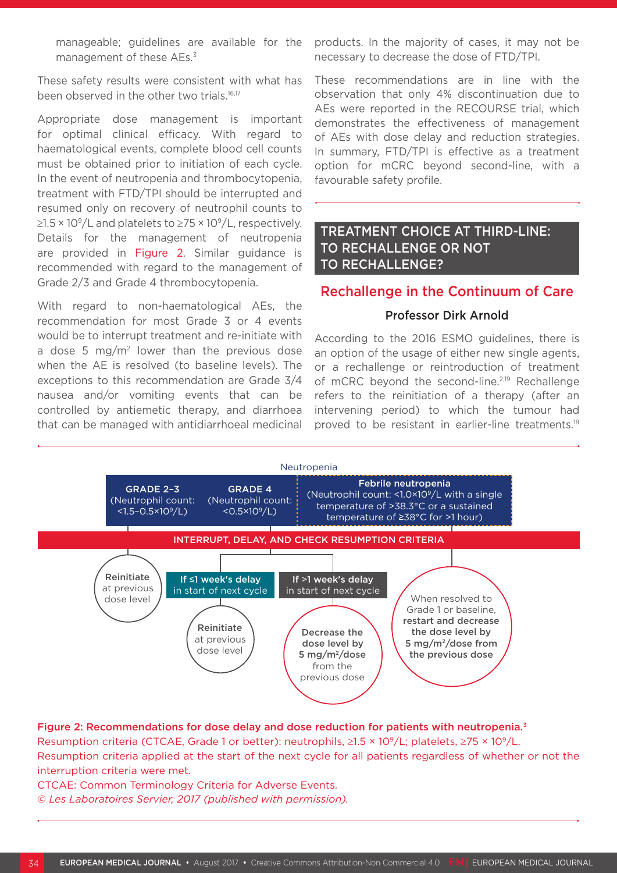manageable; guidelines are available for the management of these AEs.<sup>3</sup>

These safety results were consistent with what has been observed in the other two trials.<sup>16,17</sup>

Appropriate dose management is important for optimal clinical efficacy. With regard to haematological events, complete blood cell counts must be obtained prior to initiation of each cycle. In the event of neutropenia and thrombocytopenia, treatment with FTD/TPI should be interrupted and resumed only on recovery of neutrophil counts to  $\geq$ 1.5 × 10<sup>9</sup>/L and platelets to  $\geq$ 75 × 10<sup>9</sup>/L, respectively. Details for the management of neutropenia are provided in Figure 2. Similar guidance is recommended with regard to the management of Grade 2/3 and Grade 4 thrombocytopenia.

With regard to non-haematological AEs, the recommendation for most Grade 3 or 4 events would be to interrupt treatment and re-initiate with a dose 5 mg/m<sup>2</sup> lower than the previous dose when the AE is resolved (to baseline levels). The exceptions to this recommendation are Grade 3/4 nausea and/or vomiting events that can be controlled by antiemetic therapy, and diarrhoea that can be managed with antidiarrhoeal medicinal products. In the majority of cases, it may not be necessary to decrease the dose of FTD/TPI.

These recommendations are in line with the observation that only 4% discontinuation due to AEs were reported in the RECOURSE trial, which demonstrates the effectiveness of management of AEs with dose delay and reduction strategies. In summary, FTD/TPI is effective as a treatment option for mCRC beyond second-line, with a favourable safety profile.

### TREATMENT CHOICE AT THIRD-LINE: TO RECHALLENGE OR NOT TO RECHALLENGE?

### Rechallenge in the Continuum of Care

#### Professor Dirk Arnold

According to the 2016 ESMO guidelines, there is an option of the usage of either new single agents, or a rechallenge or reintroduction of treatment of mCRC beyond the second-line.<sup>2,19</sup> Rechallenge refers to the reinitiation of a therapy (after an intervening period) to which the tumour had proved to be resistant in earlier-line treatments.19



### Figure 2: Recommendations for dose delay and dose reduction for patients with neutropenia.<sup>3</sup>

Resumption criteria (CTCAE, Grade 1 or better): neutrophils, ≥1.5 × 109/L; platelets, ≥75 × 109/L. Resumption criteria applied at the start of the next cycle for all patients regardless of whether or not the interruption criteria were met.

CTCAE: Common Terminology Criteria for Adverse Events. *© Les Laboratoires Servier, 2017 (published with permission).*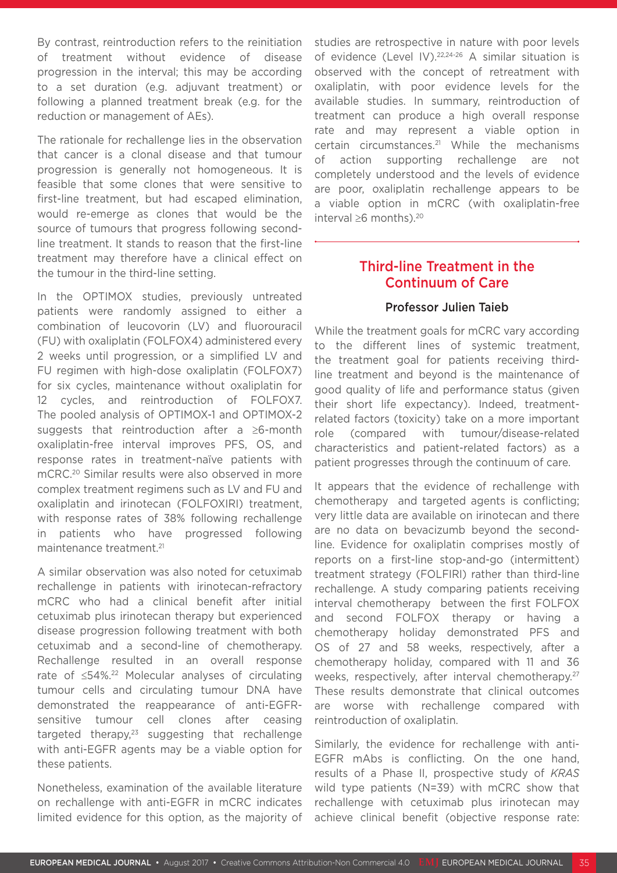By contrast, reintroduction refers to the reinitiation of treatment without evidence of disease progression in the interval; this may be according to a set duration (e.g. adjuvant treatment) or following a planned treatment break (e.g. for the reduction or management of AEs).

The rationale for rechallenge lies in the observation that cancer is a clonal disease and that tumour progression is generally not homogeneous. It is feasible that some clones that were sensitive to first-line treatment, but had escaped elimination, would re-emerge as clones that would be the source of tumours that progress following secondline treatment. It stands to reason that the first-line treatment may therefore have a clinical effect on the tumour in the third-line setting.

In the OPTIMOX studies, previously untreated patients were randomly assigned to either a combination of leucovorin (LV) and fluorouracil (FU) with oxaliplatin (FOLFOX4) administered every 2 weeks until progression, or a simplified LV and FU regimen with high-dose oxaliplatin (FOLFOX7) for six cycles, maintenance without oxaliplatin for 12 cycles, and reintroduction of FOLFOX7. The pooled analysis of OPTIMOX-1 and OPTIMOX-2 suggests that reintroduction after a ≥6-month oxaliplatin-free interval improves PFS, OS, and response rates in treatment-naïve patients with mCRC.20 Similar results were also observed in more complex treatment regimens such as LV and FU and oxaliplatin and irinotecan (FOLFOXIRI) treatment, with response rates of 38% following rechallenge in patients who have progressed following maintenance treatment.<sup>21</sup>

A similar observation was also noted for cetuximab rechallenge in patients with irinotecan-refractory mCRC who had a clinical benefit after initial cetuximab plus irinotecan therapy but experienced disease progression following treatment with both cetuximab and a second-line of chemotherapy. Rechallenge resulted in an overall response rate of ≤54%.22 Molecular analyses of circulating tumour cells and circulating tumour DNA have demonstrated the reappearance of anti-EGFRsensitive tumour cell clones after ceasing targeted therapy, $23$  suggesting that rechallenge with anti-EGFR agents may be a viable option for these patients.

Nonetheless, examination of the available literature on rechallenge with anti-EGFR in mCRC indicates limited evidence for this option, as the majority of studies are retrospective in nature with poor levels of evidence (Level IV).<sup>22,24-26</sup> A similar situation is observed with the concept of retreatment with oxaliplatin, with poor evidence levels for the available studies. In summary, reintroduction of treatment can produce a high overall response rate and may represent a viable option in certain circumstances.21 While the mechanisms of action supporting rechallenge are not completely understood and the levels of evidence are poor, oxaliplatin rechallenge appears to be a viable option in mCRC (with oxaliplatin-free interval ≥6 months). $20$ 

### Third-line Treatment in the Continuum of Care

#### Professor Julien Taieb

While the treatment goals for mCRC vary according to the different lines of systemic treatment, the treatment goal for patients receiving thirdline treatment and beyond is the maintenance of good quality of life and performance status (given their short life expectancy). Indeed, treatmentrelated factors (toxicity) take on a more important role (compared with tumour/disease-related characteristics and patient-related factors) as a patient progresses through the continuum of care.

It appears that the evidence of rechallenge with chemotherapy and targeted agents is conflicting; very little data are available on irinotecan and there are no data on bevacizumb beyond the secondline. Evidence for oxaliplatin comprises mostly of reports on a first-line stop-and-go (intermittent) treatment strategy (FOLFIRI) rather than third-line rechallenge. A study comparing patients receiving interval chemotherapy between the first FOLFOX and second FOLFOX therapy or having a chemotherapy holiday demonstrated PFS and OS of 27 and 58 weeks, respectively, after a chemotherapy holiday, compared with 11 and 36 weeks, respectively, after interval chemotherapy.<sup>27</sup> These results demonstrate that clinical outcomes are worse with rechallenge compared with reintroduction of oxaliplatin.

Similarly, the evidence for rechallenge with anti-EGFR mAbs is conflicting. On the one hand, results of a Phase II, prospective study of *KRAS* wild type patients (N=39) with mCRC show that rechallenge with cetuximab plus irinotecan may achieve clinical benefit (objective response rate: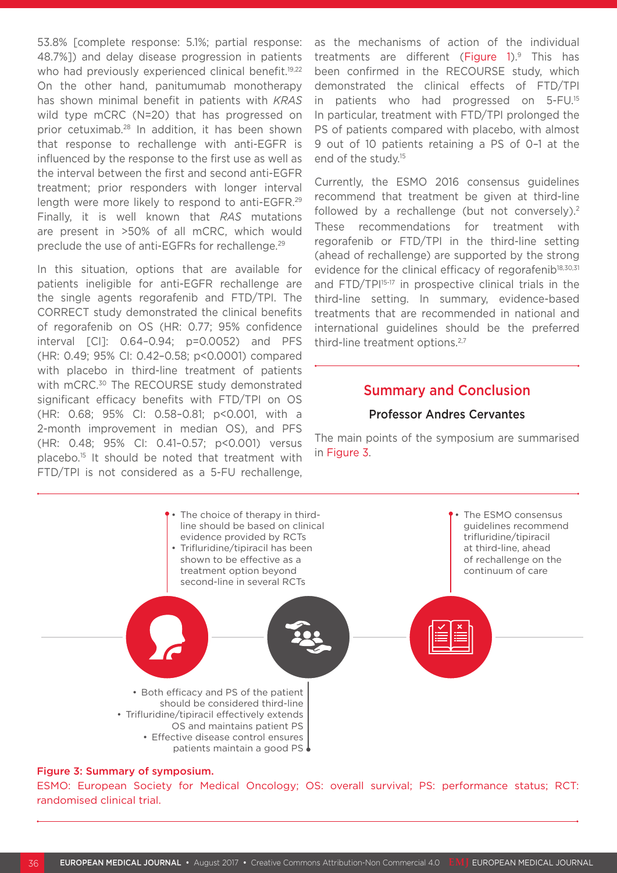53.8% [complete response: 5.1%; partial response: 48.7%]) and delay disease progression in patients who had previously experienced clinical benefit.<sup>19,22</sup> On the other hand, panitumumab monotherapy has shown minimal benefit in patients with *KRAS* wild type mCRC (N=20) that has progressed on prior cetuximab.28 In addition, it has been shown that response to rechallenge with anti-EGFR is influenced by the response to the first use as well as the interval between the first and second anti-EGFR treatment; prior responders with longer interval length were more likely to respond to anti-EGFR.<sup>29</sup> Finally, it is well known that *RAS* mutations are present in >50% of all mCRC, which would preclude the use of anti-EGFRs for rechallenge.29

In this situation, options that are available for patients ineligible for anti-EGFR rechallenge are the single agents regorafenib and FTD/TPI. The CORRECT study demonstrated the clinical benefits of regorafenib on OS (HR: 0.77; 95% confidence interval [CI]: 0.64–0.94; p=0.0052) and PFS (HR: 0.49; 95% CI: 0.42–0.58; p<0.0001) compared with placebo in third-line treatment of patients with mCRC.<sup>30</sup> The RECOURSE study demonstrated significant efficacy benefits with FTD/TPI on OS (HR: 0.68; 95% CI: 0.58–0.81; p<0.001, with a 2-month improvement in median OS), and PFS (HR: 0.48; 95% CI: 0.41–0.57; p<0.001) versus placebo.15 It should be noted that treatment with FTD/TPI is not considered as a 5-FU rechallenge, as the mechanisms of action of the individual treatments are different (Figure 1).<sup>9</sup> This has been confirmed in the RECOURSE study, which demonstrated the clinical effects of FTD/TPI in patients who had progressed on 5-FU.15 In particular, treatment with FTD/TPI prolonged the PS of patients compared with placebo, with almost 9 out of 10 patients retaining a PS of 0–1 at the end of the study.15

Currently, the ESMO 2016 consensus guidelines recommend that treatment be given at third-line followed by a rechallenge (but not conversely).<sup>2</sup> These recommendations for treatment with regorafenib or FTD/TPI in the third-line setting (ahead of rechallenge) are supported by the strong evidence for the clinical efficacy of regorafenib<sup>18,30,31</sup> and FTD/TPI<sup>15-17</sup> in prospective clinical trials in the third-line setting. In summary, evidence-based treatments that are recommended in national and international guidelines should be the preferred third-line treatment options.<sup>2,7</sup>

### Summary and Conclusion

#### Professor Andres Cervantes

The main points of the symposium are summarised in Figure 3.



#### Figure 3: Summary of symposium.

ESMO: European Society for Medical Oncology; OS: overall survival; PS: performance status; RCT: randomised clinical trial.